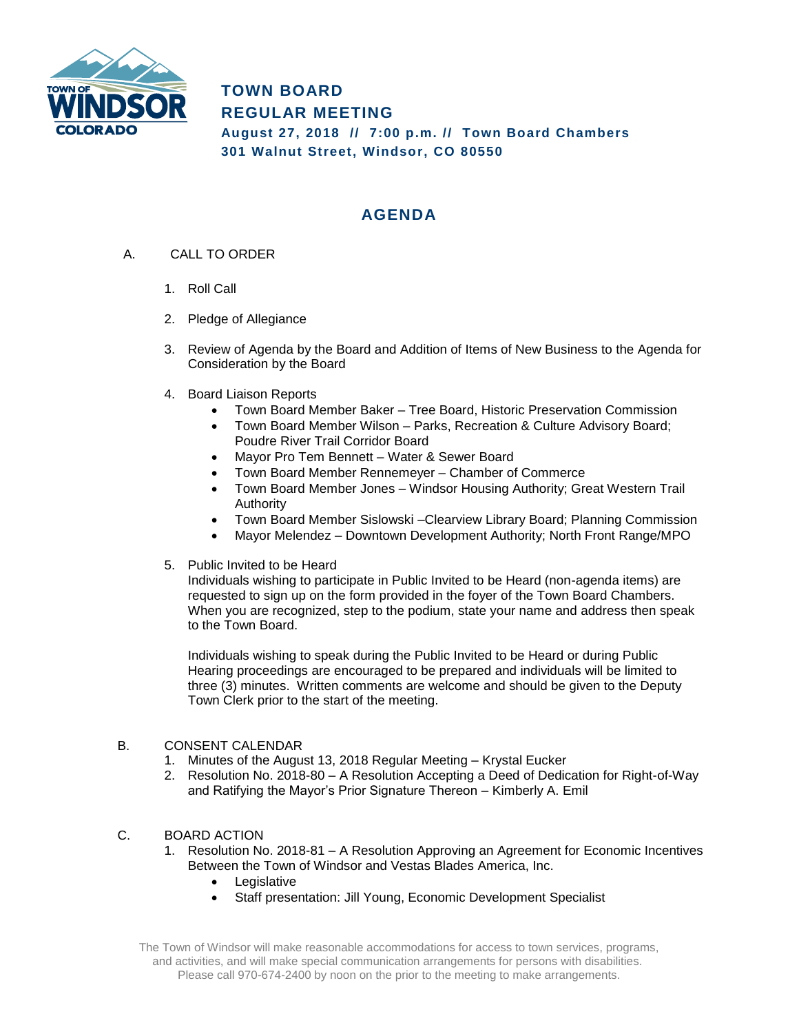

**TOWN BOARD REGULAR MEETING August 27, 2018 // 7:00 p.m. // Town Board Chambers 301 Walnut Street, Windsor, CO 80550**

# **AGENDA**

- A. CALL TO ORDER
	- 1. Roll Call
	- 2. Pledge of Allegiance
	- 3. Review of Agenda by the Board and Addition of Items of New Business to the Agenda for Consideration by the Board
	- 4. Board Liaison Reports
		- Town Board Member Baker Tree Board, Historic Preservation Commission
		- Town Board Member Wilson Parks, Recreation & Culture Advisory Board; Poudre River Trail Corridor Board
		- Mayor Pro Tem Bennett Water & Sewer Board
		- Town Board Member Rennemeyer Chamber of Commerce
		- Town Board Member Jones Windsor Housing Authority; Great Western Trail Authority
		- Town Board Member Sislowski –Clearview Library Board; Planning Commission
		- Mayor Melendez Downtown Development Authority; North Front Range/MPO
	- 5. Public Invited to be Heard

Individuals wishing to participate in Public Invited to be Heard (non-agenda items) are requested to sign up on the form provided in the foyer of the Town Board Chambers. When you are recognized, step to the podium, state your name and address then speak to the Town Board.

Individuals wishing to speak during the Public Invited to be Heard or during Public Hearing proceedings are encouraged to be prepared and individuals will be limited to three (3) minutes. Written comments are welcome and should be given to the Deputy Town Clerk prior to the start of the meeting.

# B. CONSENT CALENDAR

- 1. Minutes of the August 13, 2018 Regular Meeting Krystal Eucker
- 2. Resolution No. 2018-80 A Resolution Accepting a Deed of Dedication for Right-of-Way and Ratifying the Mayor's Prior Signature Thereon – Kimberly A. Emil

# C. BOARD ACTION

- 1. Resolution No. 2018-81 A Resolution Approving an Agreement for Economic Incentives Between the Town of Windsor and Vestas Blades America, Inc.
	- Legislative
	- Staff presentation: Jill Young, Economic Development Specialist

The Town of Windsor will make reasonable accommodations for access to town services, programs, and activities, and will make special communication arrangements for persons with disabilities. Please call 970-674-2400 by noon on the prior to the meeting to make arrangements.